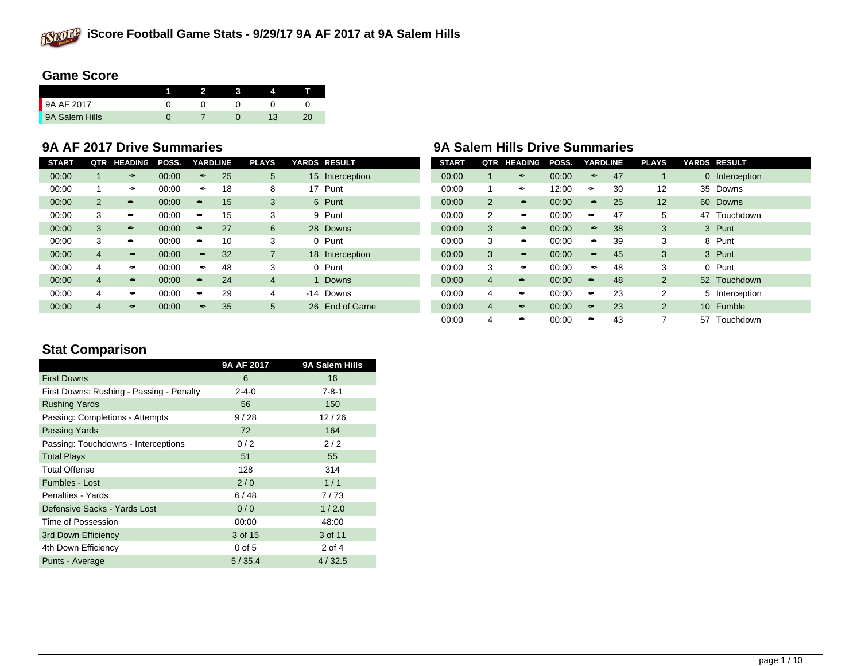

# **Game Score**

| 9A AF 2017     |  |  |  |
|----------------|--|--|--|
| 9A Salem Hills |  |  |  |

| <b>START</b> | QTR            | <b>HEADING</b> | POSS. | <b>YARDLINE</b> |    | <b>PLAYS</b> | <b>YARDS RESULT</b> | <b>START</b> | QTR            | <b>HEADING</b> | POSS. | <b>YARDLINE</b> | <b>PLAYS</b>   | <b>YARDS RESULT</b> |
|--------------|----------------|----------------|-------|-----------------|----|--------------|---------------------|--------------|----------------|----------------|-------|-----------------|----------------|---------------------|
| 00:00        |                |                | 00:00 |                 | 25 | 5            | 15 Interception     | 00:00        |                |                | 00:00 | 47              |                | 0 Interception      |
| 00:00        |                |                | 00:00 |                 | 18 | 8            | Punt<br>17          | 00:00        |                |                | 12:00 | 30              | 12             | 35 Downs            |
| 00:00        | $\overline{2}$ |                | 00:00 |                 | 15 | 3            | 6 Punt              | 00:00        | 2              |                | 00:00 | 25              | 12             | 60 Downs            |
| 00:00        | 3              | Î              | 00:00 |                 | 15 | 3            | 9 Punt              | 00:00        | $\overline{2}$ |                | 00:00 | 47              | 5              | Touchdown<br>47     |
| 00:00        | 3              |                | 00:00 |                 | 27 | 6            | 28 Downs            | 00:00        | 3              |                | 00:00 | 38              | 3              | 3 Punt              |
| 00:00        | 3              |                | 00:00 |                 | 10 | 3            | Punt<br>0           | 00:00        | 3              |                | 00:00 | 39              | 3              | 8 Punt              |
| 00:00        | 4              |                | 00:00 | P               | 32 |              | 18<br>Interception  | 00:00        | 3              |                | 00:00 | 45              | 3              | 3 Punt              |
| 00:00        | 4              |                | 00:00 |                 | 48 | 3            | Punt<br>0           | 00:00        | 3              |                | 00:00 | 48              | 3              | 0 Punt              |
| 00:00        | 4              |                | 00:00 |                 | 24 | 4            | <b>Downs</b>        | 00:00        | 4              |                | 00:00 | 48              | $\overline{2}$ | 52 Touchdown        |
| 00:00        | 4              |                | 00:00 |                 | 29 | 4            | -14 Downs           | 00:00        | 4              |                | 00:00 | 23              | 2              | 5 Interception      |
| 00:00        | 4              |                | 00:00 |                 | 35 | 5            | 26 End of Game      | 00:00        | 4              |                | 00:00 | 23              | 2              | 10 Fumble           |

# **9A AF 2017 Drive Summaries 9A Salem Hills Drive Summaries**

| <b>START</b> | QTR            | <b>HEADING</b>        | POSS. | <b>YARDLINE</b>       |    | <b>PLAYS</b>   |          | <b>YARDS RESULT</b> |
|--------------|----------------|-----------------------|-------|-----------------------|----|----------------|----------|---------------------|
| 00:00        | 1              | $\overrightarrow{r}$  | 00:00 | f                     | 47 | 1              | $\Omega$ | Interception        |
| 00:00        | 1              | Î                     | 12:00 | محم                   | 30 | 12             | 35       | Downs               |
| 00:00        | $\overline{2}$ |                       | 00:00 | <b>f</b>              | 25 | 12             | 60       | Downs               |
| 00:00        | 2              | $\tilde{\phantom{a}}$ | 00:00 | $\tilde{\phantom{a}}$ | 47 | 5              | 47       | Touchdown           |
| 00:00        | 3              |                       | 00:00 | t <sup>o</sup>        | 38 | 3              |          | 3 Punt              |
| 00:00        | 3              | $\tilde{\phantom{a}}$ | 00:00 | Î                     | 39 | 3              | 8        | Punt                |
| 00:00        | 3              |                       | 00:00 | Î                     | 45 | 3              |          | 3 Punt              |
| 00:00        | 3              | $\tilde{\phantom{a}}$ | 00:00 | Î                     | 48 | 3              | 0        | Punt                |
| 00:00        | $\overline{4}$ | $\boldsymbol{r}$      | 00:00 |                       | 48 | 2              |          | 52 Touchdown        |
| 00:00        | 4              | Î                     | 00:00 | $\tilde{\mathcal{F}}$ | 23 | 2              | 5        | Interception        |
| 00:00        | $\overline{4}$ | Í                     | 00:00 |                       | 23 | $\overline{2}$ | 10       | Fumble              |
| 00:00        | 4              | Î                     | 00:00 | $\tilde{\phantom{a}}$ | 43 | 7              | 57       | Touchdown           |

# **Stat Comparison**

|                                          | 9A AF 2017  | 9A Salem Hills |
|------------------------------------------|-------------|----------------|
| <b>First Downs</b>                       | 6           | 16             |
| First Downs: Rushing - Passing - Penalty | $2 - 4 - 0$ | $7 - 8 - 1$    |
| <b>Rushing Yards</b>                     | 56          | 150            |
| Passing: Completions - Attempts          | 9/28        | 12/26          |
| <b>Passing Yards</b>                     | 72          | 164            |
| Passing: Touchdowns - Interceptions      | 0/2         | 2/2            |
| <b>Total Plays</b>                       | 51          | 55             |
| <b>Total Offense</b>                     | 128         | 314            |
| <b>Fumbles - Lost</b>                    | 2/0         | 1/1            |
| Penalties - Yards                        | 6/48        | 7/73           |
| Defensive Sacks - Yards Lost             | 0/0         | 1/2.0          |
| Time of Possession                       | 00:00       | 48:00          |
| 3rd Down Efficiency                      | 3 of 15     | 3 of 11        |
| 4th Down Efficiency                      | $0$ of $5$  | 2 of 4         |
| Punts - Average                          | 5/35.4      | 4/32.5         |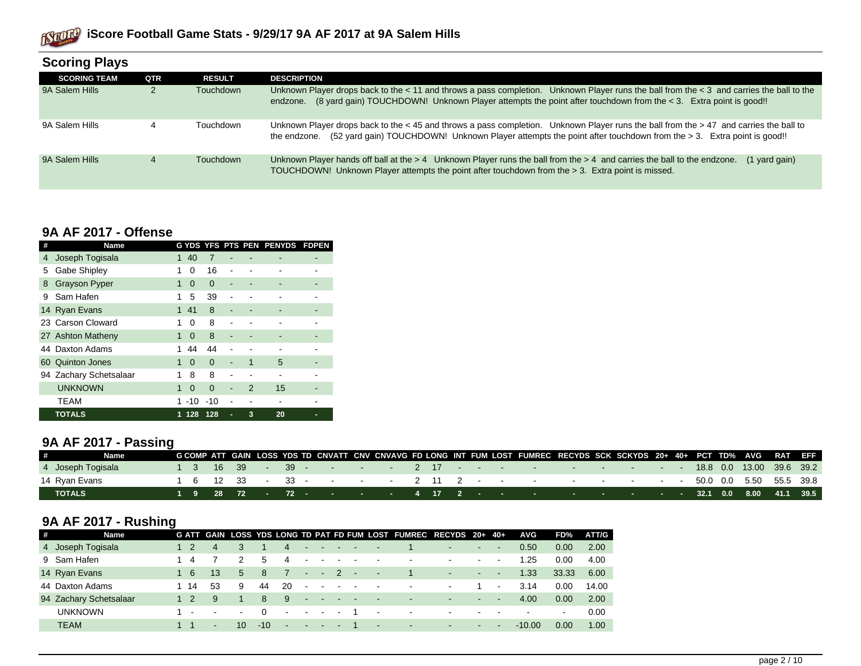

| Scoring Plays       |     |               |                                                                                                                                                                                                                                                                                  |
|---------------------|-----|---------------|----------------------------------------------------------------------------------------------------------------------------------------------------------------------------------------------------------------------------------------------------------------------------------|
| <b>SCORING TEAM</b> | QTR | <b>RESULT</b> | <b>DESCRIPTION</b>                                                                                                                                                                                                                                                               |
| 9A Salem Hills      |     | Touchdown     | Unknown Player drops back to the $< 11$ and throws a pass completion. Unknown Player runs the ball from the $< 3$ and carries the ball to the<br>(8 yard gain) TOUCHDOWN! Unknown Player attempts the point after touchdown from the $\lt 3$ . Extra point is good!!<br>endzone. |
| 9A Salem Hills      |     | Touchdown     | Unknown Player drops back to the $<$ 45 and throws a pass completion. Unknown Player runs the ball from the $>$ 47 and carries the ball to<br>(52 yard gain) TOUCHDOWN! Unknown Player attempts the point after touchdown from the > 3. Extra point is good!!<br>the endzone.    |
| 9A Salem Hills      | 4   | Touchdown     | Unknown Player hands off ball at the > 4 Unknown Player runs the ball from the > 4 and carries the ball to the endzone.<br>$(1$ yard gain)<br>TOUCHDOWN! Unknown Player attempts the point after touchdown from the > 3. Extra point is missed.                                  |

#### **Scoring Plays**

### **9A AF 2017 - Offense**

| # | Name                   |   |          |          |                |               | G YDS YFS PTS PEN PENYDS | <b>FDPEN</b> |
|---|------------------------|---|----------|----------|----------------|---------------|--------------------------|--------------|
| 4 | Joseph Togisala        | 1 | 40       | 7        |                |               |                          |              |
| 5 | Gabe Shipley           | 1 | 0        | 16       |                |               |                          |              |
| 8 | <b>Grayson Pyper</b>   | 1 | $\Omega$ | $\Omega$ | ٠              |               |                          |              |
| 9 | Sam Hafen              | 1 | 5        | 39       | ٠              |               |                          |              |
|   | 14 Ryan Evans          | 1 | 41       | 8        |                |               |                          |              |
|   | 23 Carson Cloward      | 1 | 0        | 8        |                |               |                          |              |
|   | 27 Ashton Matheny      | 1 | $\Omega$ | 8        | ٠              |               |                          |              |
|   | 44 Daxton Adams        | 1 | 44       | 44       |                |               |                          |              |
|   | 60 Quinton Jones       | 1 | $\Omega$ | $\Omega$ | $\blacksquare$ | 1             | 5                        |              |
|   | 94 Zachary Schetsalaar | 1 | 8        | 8        |                |               |                          |              |
|   | <b>UNKNOWN</b>         | 1 | $\Omega$ | $\Omega$ | -              | $\mathcal{P}$ | 15                       |              |
|   | <b>TEAM</b>            |   | $-10$    | $-10$    |                |               |                          |              |
|   | <b>TOTALS</b>          | 1 | 128      | 128      | ٠              | 3             | 20                       | ▬            |

# **9A AF 2017 - Passing**

|                   | <b>Name</b> |  |  |  | G COMP ATT GAIN LOSS YDS TD CNVATT CNV CNVAVG FD LONG INT FUM LOST FUMREC RECYDS SCK SCKYDS 20+ 40+ PCT TD% AVG RAT EFF                                                                                                |  |  |  |  |  |  |  |  |  |
|-------------------|-------------|--|--|--|------------------------------------------------------------------------------------------------------------------------------------------------------------------------------------------------------------------------|--|--|--|--|--|--|--|--|--|
| 4 Joseph Togisala |             |  |  |  | $1 \quad 3 \quad 16 \quad 39 \quad - \quad 39 \quad - \quad - \quad 2 \quad 17 \quad - \quad - \quad - \quad - \quad - \quad - \quad - \quad - \quad - \quad - \quad 18.8 \quad 0.0 \quad 13.00 \quad 39.6 \quad 39.2$ |  |  |  |  |  |  |  |  |  |
| 14 Ryan Evans     |             |  |  |  | $1 \t 6 \t 12 \t 33 \t 33 \t 33$ . $2 \t 11 \t 2$ 50.0 0.0 5.50 55.5 39.8                                                                                                                                              |  |  |  |  |  |  |  |  |  |
| <b>TOTALS</b>     |             |  |  |  | <sub> </sub> 1  9  28  72   -   72   -   -   -   -   4  17  2  -   -    -   -   -   -   -   -   32.1  0.0   8.00   41.1  39.5                                                                                          |  |  |  |  |  |  |  |  |  |

# **9A AF 2017 - Rushing**

| # | <b>Name</b>            |      |        |                          |           |                          |                          |                                  |                    |                                  |                          | G ATT GAIN LOSS YDS LONG TD PAT FD FUM LOST FUMREC RECYDS 20+ 40+ |                          |                |                | <b>AVG</b> | FD%                      | ATT/G |
|---|------------------------|------|--------|--------------------------|-----------|--------------------------|--------------------------|----------------------------------|--------------------|----------------------------------|--------------------------|-------------------------------------------------------------------|--------------------------|----------------|----------------|------------|--------------------------|-------|
|   | 4 Joseph Togisala      |      | 4      |                          |           | 4                        |                          |                                  |                    |                                  | $\overline{\phantom{a}}$ |                                                                   |                          | ۰.             | $\blacksquare$ | 0.50       | 0.00                     | 2.00  |
|   | 9 Sam Hafen            |      |        |                          | 5         | 4                        |                          |                                  |                    |                                  | $\,$                     | $\sim$                                                            | $\blacksquare$           | $\sim$         | $\sim$         | 1.25       | 0.00                     | 4.00  |
|   | 14 Ryan Evans          | 6    | 13     | 5                        | -8        |                          | <b>Service</b>           | $\sim$                           | $\mathcal{P}$      | $\sim$                           | $\sim$ 10 $-$            |                                                                   | $\sim$                   | ۰.             | $\sim$         | 1.33       | 33.33                    | 6.00  |
|   | 44 Daxton Adams        | - 14 | 53     | 9                        | 44        | 20                       |                          |                                  | $\blacksquare$     | <b><i><u>Participate</u></i></b> |                          | $\sim$                                                            | $\blacksquare$           |                | $\sim$         | 3.14       | 0.00                     | 14.00 |
|   | 94 Zachary Schetsalaar |      | 9      |                          | 8         | -9                       |                          | <b>Service</b>                   | <b>State State</b> |                                  | $\sim$                   | $\sim$                                                            | $\overline{\phantom{a}}$ | ۰.             | $\sim$         | 4.00       | 0.00                     | 2.00  |
|   | <b>UNKNOWN</b>         |      | $\sim$ | $\overline{\phantom{a}}$ |           | $\overline{\phantom{0}}$ | <b>Contract Contract</b> | $\sim$ $-$                       | $\sim$             |                                  | $\sim$                   | $\sim$                                                            | $\,$                     | $\blacksquare$ |                | $\,$       | $\overline{\phantom{a}}$ | 0.00  |
|   | <b>TEAM</b>            |      | $\sim$ | 10                       | $-10^{-}$ | ÷.                       |                          | <b><i><u>Participate</u></i></b> | $\sim$             |                                  | $\sim$                   | $\sim$                                                            | $\sim$                   | $\sim$         | <b>м.</b>      | $-10.00$   | 0.00                     | 1.00  |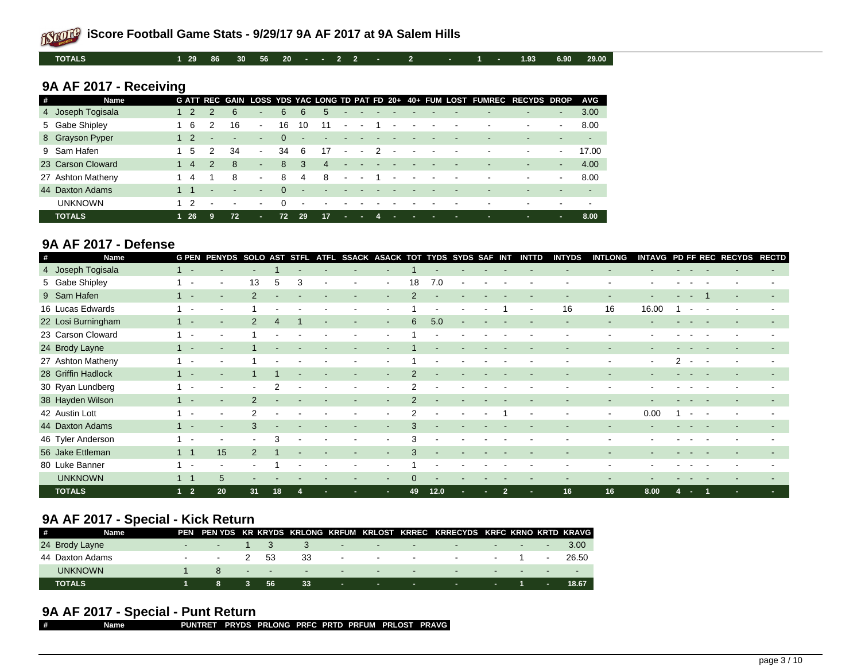**TOTALS 1 29 86 30 56 20 - - 2 2 - 2 - 1 - 1.93 6.90 29.00**

# **9A AF 2017 - Receiving**

| # | <b>Name</b>       |                        |        |    |        |          |                |                       |                          |                          |                          |                          |  | G ATT REC GAIN LOSS YDS YAC LONG TD PAT FD 20+ 40+ FUM LOST FUMREC RECYDS DROP |                          |        | <b>AVG</b> |
|---|-------------------|------------------------|--------|----|--------|----------|----------------|-----------------------|--------------------------|--------------------------|--------------------------|--------------------------|--|--------------------------------------------------------------------------------|--------------------------|--------|------------|
|   | 4 Joseph Togisala |                        | 2      | -6 | ۰.     | 6        | 6              | 5                     | $\overline{\phantom{a}}$ |                          |                          |                          |  | -                                                                              | $\blacksquare$           | $\sim$ | 3.00       |
|   | 5 Gabe Shipley    | - 6                    |        | 16 | $\sim$ | 16       | 10             | 11                    | $\blacksquare$           | $\overline{\phantom{a}}$ | $\overline{\phantom{a}}$ | $\sim$                   |  | $\,$                                                                           | $\,$                     | $\sim$ | 8.00       |
|   | 8 Grayson Pyper   | 1 2                    |        |    | $\sim$ |          | $\blacksquare$ |                       |                          |                          |                          |                          |  |                                                                                |                          |        |            |
|   | 9 Sam Hafen       | $\mathbf{b}$           |        | 34 | $\sim$ | 34       | -6             | 17                    | $\sim$                   | $\overline{\phantom{a}}$ | $\overline{\phantom{a}}$ | $\overline{\phantom{a}}$ |  | $\overline{\phantom{0}}$                                                       | $\overline{\phantom{a}}$ | $\sim$ | 17.00      |
|   | 23 Carson Cloward | $\boldsymbol{\Lambda}$ |        | 8  | $\sim$ | 8        | -3             | $\boldsymbol{\Delta}$ |                          |                          |                          |                          |  |                                                                                | $\overline{\phantom{a}}$ | $\sim$ | 4.00       |
|   | 27 Ashton Matheny | $\overline{a}$         |        | -8 | $\sim$ | 8        | 4              | -8                    | $\blacksquare$           | $\overline{\phantom{a}}$ | $\overline{\phantom{a}}$ | $\overline{\phantom{a}}$ |  | $\sim$                                                                         | $\overline{\phantom{a}}$ | $\sim$ | 8.00       |
|   | 44 Daxton Adams   |                        | $\sim$ |    | $\sim$ | $\Omega$ | $\sim$         |                       |                          |                          |                          |                          |  |                                                                                |                          |        |            |
|   | <b>UNKNOWN</b>    |                        |        |    | $\sim$ | $\Omega$ | $\sim$         |                       | $\sim$                   |                          |                          |                          |  | -                                                                              | $\overline{\phantom{0}}$ |        |            |
|   | <b>TOTALS</b>     | - 26                   | 9      | 72 | ×.     | 72       | 29             | 17                    | ×.                       | п.                       | . .                      | н.                       |  |                                                                                | п.                       |        | 8.00       |

#### **9A AF 2017 - Defense**

| # | Name               |            | <b>G PEN PENYDS SOLO AST STFL</b> |                |                |   | ATFL SSACK ASACK TOT TYDS SYDS SAF INT |        |                 |                          |        |    |                | <b>INTTD</b>             | <b>INTYDS</b> | <b>INTLONG</b> | <b>INTAVG</b>            |                         |       |     | PD FF REC RECYDS RECTD |    |
|---|--------------------|------------|-----------------------------------|----------------|----------------|---|----------------------------------------|--------|-----------------|--------------------------|--------|----|----------------|--------------------------|---------------|----------------|--------------------------|-------------------------|-------|-----|------------------------|----|
|   | 4 Joseph Togisala  | $1 -$      |                                   |                |                |   |                                        |        |                 |                          |        |    |                |                          |               |                |                          |                         |       |     |                        |    |
|   | 5 Gabe Shipley     |            | $\blacksquare$                    | 13             | 5              | 3 |                                        | $\sim$ | 18              | 7.0                      | $\sim$ |    |                |                          |               |                |                          |                         |       |     |                        |    |
|   | 9 Sam Hafen        |            |                                   | $\mathcal{P}$  |                |   |                                        | $\sim$ | $\mathcal{P}$   |                          | $\sim$ |    |                | $\overline{\phantom{a}}$ |               | $\blacksquare$ | $\blacksquare$           | $\sim 100$ km s $^{-1}$ |       |     |                        |    |
|   | 16 Lucas Edwards   |            |                                   |                |                |   |                                        |        |                 |                          |        |    |                | $\overline{\phantom{a}}$ | 16            | 16             | 16.00                    |                         |       |     |                        |    |
|   | 22 Losi Burningham |            |                                   | $\mathcal{P}$  | $\overline{4}$ |   |                                        | $\sim$ | $6\overline{6}$ | 5.0                      |        |    |                |                          |               |                |                          |                         |       |     |                        |    |
|   | 23 Carson Cloward  |            |                                   |                |                |   |                                        |        |                 |                          |        |    |                |                          |               |                |                          |                         |       |     |                        |    |
|   | 24 Brody Layne     |            |                                   |                |                |   | $\sim$                                 | $\sim$ |                 |                          |        |    |                |                          |               |                |                          |                         |       |     |                        |    |
|   | 27 Ashton Matheny  |            |                                   |                |                |   | $\overline{\phantom{a}}$               | $\sim$ |                 |                          |        |    |                |                          |               |                | $\sim$                   | $\mathcal{P}$           |       | . — |                        |    |
|   | 28 Griffin Hadlock |            |                                   |                |                |   | $\overline{\phantom{a}}$               | $\sim$ | $\overline{2}$  |                          |        |    |                |                          |               |                |                          |                         |       |     |                        |    |
|   | 30 Ryan Lundberg   |            |                                   | $\blacksquare$ | 2              |   |                                        | $\sim$ | 2               |                          |        |    |                |                          |               |                |                          |                         |       |     |                        |    |
|   | 38 Hayden Wilson   |            |                                   | 2              |                |   |                                        | $\sim$ | $\mathcal{P}$   |                          |        |    |                |                          |               |                |                          |                         |       |     |                        |    |
|   | 42 Austin Lott     |            | $\overline{\phantom{a}}$          | 2              |                |   |                                        | $\sim$ | 2               | $\blacksquare$           |        |    |                | $\blacksquare$           |               | $\blacksquare$ | 0.00                     |                         |       |     |                        |    |
|   | 44 Daxton Adams    |            | $\sim$                            | 3              |                |   |                                        | $\sim$ | 3               | $\sim$                   |        |    |                |                          |               |                | $\overline{\phantom{a}}$ |                         |       |     |                        |    |
|   | 46 Tyler Anderson  |            | $\blacksquare$                    | $\blacksquare$ | 3              |   | $\overline{\phantom{a}}$               | $\sim$ | 3               | $\overline{\phantom{a}}$ |        |    |                |                          |               |                | $\blacksquare$           |                         |       |     |                        |    |
|   | 56 Jake Ettleman   |            | 15                                | 2              |                |   |                                        |        | 3               |                          |        |    |                |                          |               |                |                          |                         |       |     |                        |    |
|   | 80 Luke Banner     |            | $\blacksquare$                    |                |                |   |                                        |        |                 |                          |        |    |                |                          |               |                |                          |                         |       |     |                        |    |
|   | <b>UNKNOWN</b>     |            | 5                                 |                |                |   |                                        | $\sim$ | $\mathbf{0}$    |                          |        |    |                |                          |               |                |                          |                         |       |     |                        |    |
|   | <b>TOTALS</b>      | $1\quad 2$ | 20                                | 31             | 18             |   |                                        |        | 49              | $12.0$                   |        | ×. | $\overline{2}$ | ٠                        | 16            | 16             | 8.00                     |                         | ren i |     | ٠                      | н. |

#### **9A AF 2017 - Special - Kick Return**

| <b>#</b> | <b>Name</b>     |                                    |       |     |    |                                       |                                                                                           | PEN PEN YDS KR KRYDS KRLONG KRFUM KRLOST KRREC KRRECYDS KRFC KRNO KRTD KRAVG                                    |                                           |                         |              |       |
|----------|-----------------|------------------------------------|-------|-----|----|---------------------------------------|-------------------------------------------------------------------------------------------|-----------------------------------------------------------------------------------------------------------------|-------------------------------------------|-------------------------|--------------|-------|
|          | 24 Brody Layne  | <b>Service Contracts</b>           |       |     |    |                                       |                                                                                           | 1000 April 2010 April 2010 April 2010 April 2010 April 2010 April 2010 April 2010 April 2010                    |                                           | $\sim$                  |              | 3.00  |
|          | 44 Daxton Adams | $-2$ 53                            |       |     | 33 |                                       |                                                                                           | in the company of the company of the company of the company of the company of the company of the company of the |                                           |                         |              | 26.50 |
|          | <b>UNKNOWN</b>  | $\sqrt{8}$ . The set of $\sqrt{8}$ |       |     |    | <b>The Committee of the Committee</b> | the control of the control of the control of the control of the control of the control of |                                                                                                                 |                                           | the company's company's |              |       |
|          | <b>TOTALS</b>   | -8                                 | - 3 - | -56 | 33 |                                       | the company's company's company's                                                         | the control of the con-                                                                                         | <b>Service Contract Contract Contract</b> |                         | <b>COLOR</b> |       |

# **9A AF 2017 - Special - Punt Return**

| Name | PUNTRET PRYDS PRLONG PRFC PRTD PRFUM PRLOST PRAVG |  |  |  |  |
|------|---------------------------------------------------|--|--|--|--|
|      |                                                   |  |  |  |  |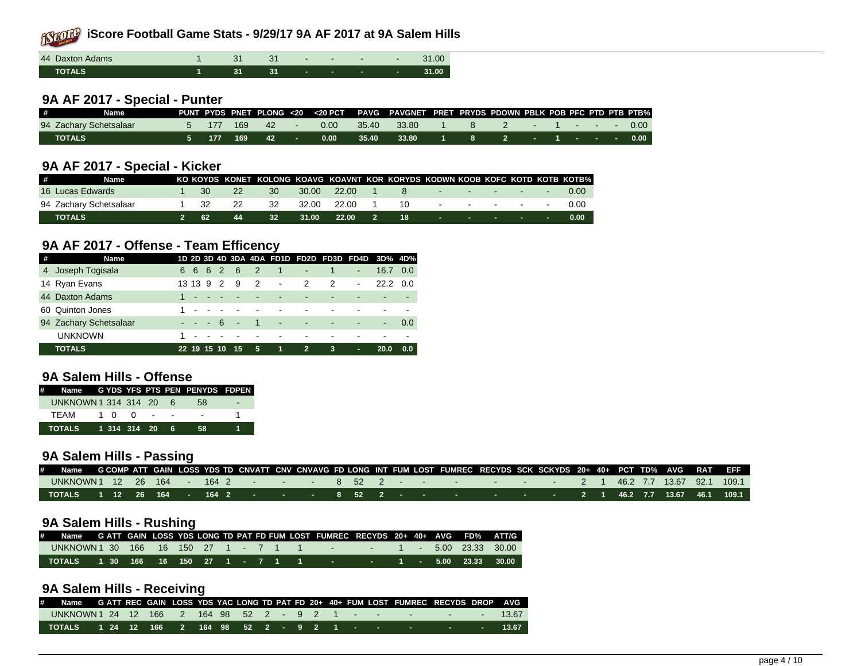| 44 Daxton Adams |  |  | $\overline{\phantom{a}}$ |   | 31.00 |
|-----------------|--|--|--------------------------|---|-------|
| <b>TOTALS</b>   |  |  |                          | ۰ | 31.00 |

#### **9A AF 2017 - Special - Punter**

| # | Name                   |  |                |      |       | PUNT PYDS PNET PLONG <20 <20 PCT PAVG PAVGNET PRET PRYDS PDOWN PBLK POB PFC PTD PTB PTB% |  |  |  |  |                  |
|---|------------------------|--|----------------|------|-------|------------------------------------------------------------------------------------------|--|--|--|--|------------------|
|   | 94 Zachary Schetsalaar |  | 177 169 42     | 0.00 | 35.40 | 33.80                                                                                    |  |  |  |  | 2 - 1 - - - 0.00 |
|   | L TOTALS'              |  | 5 177 169 42 - | 0.00 | 35.40 | 33.80 1 8 2 - 1 - - -                                                                    |  |  |  |  | 0.00             |

#### **9A AF 2017 - Special - Kicker**

| # | Name                   |  |     | KO KOYDS KONET KOLONG KOAVG KOAVNT KOR KORYDS KODWN KOOB KOFC KOTD KOTB KOTB% |       |                     |      |                |                                              |  |          |
|---|------------------------|--|-----|-------------------------------------------------------------------------------|-------|---------------------|------|----------------|----------------------------------------------|--|----------|
|   | 16 Lucas Edwards       |  | 22. | 30                                                                            |       | 30.00 22.00         |      | 8 - - - - - -  |                                              |  | 0.00     |
|   | 94 Zachary Schetsalaar |  | 22  | -32                                                                           |       | 32.00 22.00         |      | 10 - - - - - - |                                              |  | $\Omega$ |
|   | TOTALS                 |  | 44  | 32 <sup>2</sup>                                                               | 31.00 | $\sim$ 22.00 $\sim$ | 2 18 |                | the control of the control of the control of |  | 0.00     |

### **9A AF 2017 - Offense - Team Efficency**

| # | <b>Name</b>            |                         |      |        |                            |                                |                          |                         | 1D 2D 3D 4D 3DA 4DA FD1D FD2D FD3D FD4D 3D% 4D% |                  |     |
|---|------------------------|-------------------------|------|--------|----------------------------|--------------------------------|--------------------------|-------------------------|-------------------------------------------------|------------------|-----|
|   | 4 Joseph Togisala      | 6 6 6 2                 |      | $-6$   | $\overline{\phantom{0}}$ 2 |                                | 1 - 1                    |                         | $\blacksquare$                                  | 16.7 0.0         |     |
|   | 14 Ryan Evans          | 13 13 9 2               |      | - 9    | $\overline{2}$             | $\sim 100$                     | 2                        | 2                       | $\blacksquare$                                  | $22.2 \quad 0.0$ |     |
|   | 44 Daxton Adams        | $1 - - -$               |      |        |                            |                                |                          |                         |                                                 |                  |     |
|   | 60 Quinton Jones       |                         |      |        |                            |                                | $\overline{\phantom{a}}$ |                         |                                                 |                  |     |
|   | 94 Zachary Schetsalaar | $\sim 100$ km s $^{-1}$ | $-6$ | $\sim$ | $\blacksquare$ 1           | and the control of the control |                          | $\blacksquare$          | $\sim$                                          | $\blacksquare$   | 0.0 |
|   | <b>UNKNOWN</b>         |                         |      |        |                            |                                |                          |                         |                                                 |                  |     |
|   | <b>TOTALS</b>          | 22 19 15 10             |      | 15     | 5                          | -11                            | $-2-$                    | $\overline{\mathbf{3}}$ | ٠                                               | 20.0             | 0.0 |

# **9A Salem Hills - Offense**

| # Name GYDS YFS PTS PEN PENYDS FDPEN |  |  |                |           |   |
|--------------------------------------|--|--|----------------|-----------|---|
| UNKNOWN 1 314 314 20 6               |  |  |                | .58       | - |
| TFAM                                 |  |  |                | 100 - - - |   |
| TOTALS                               |  |  | 1 314 314 20 6 | 58.       |   |

# **9A Salem Hills - Passing**

| # Name GCOMP ATT GAIN LOSS YDS TD CNVATT CNV CNVAVG FD LONG INT FUM LOST FUMREC RECYDS SCK SCKYDS 20+ 40+ PCT TD% AVG RAT EFF |  |  |  |  |  |  |  |  |  |  |  |  |  |
|-------------------------------------------------------------------------------------------------------------------------------|--|--|--|--|--|--|--|--|--|--|--|--|--|
|                                                                                                                               |  |  |  |  |  |  |  |  |  |  |  |  |  |
| TOTALS 1 12 26 164 - 164 2 - - - - 8 52 2 - - - - - - - - - - 2 1 46.2 7.7 13.67 46.1 109.1                                   |  |  |  |  |  |  |  |  |  |  |  |  |  |

#### **9A Salem Hills - Rushing**

| # Name GATT GAIN LOSS YDS LONG TD PAT FD FUM LOST FUMREC RECYDS 20+ 40+ AVG FD% ATT/G |  |  |  |  |  |  |  |  |  |
|---------------------------------------------------------------------------------------|--|--|--|--|--|--|--|--|--|
| UNKNOWN 1 30 166 16 150 27 1 - 7 1 1 1 - 1 - 1 - 5.00 23.33 30.00                     |  |  |  |  |  |  |  |  |  |
| TOTALS  1 30  166  16  150  27  1  -  7  1   1    -    -   1  -  5.00  23.33  30.00   |  |  |  |  |  |  |  |  |  |

### **9A Salem Hills - Receiving**

| # Name GATT REC GAIN LOSS YDS YAC LONG TD PAT FD 20+ 40+ FUM LOST FUMREC RECYDS DROP AVG |  |  |  |  |  |  |  |  |  |  |
|------------------------------------------------------------------------------------------|--|--|--|--|--|--|--|--|--|--|
| UNKNOWN 1 24 12 166 2 164 98 52 2 - 9 2 1 - - - - - - - - - - - 13.67                    |  |  |  |  |  |  |  |  |  |  |
|                                                                                          |  |  |  |  |  |  |  |  |  |  |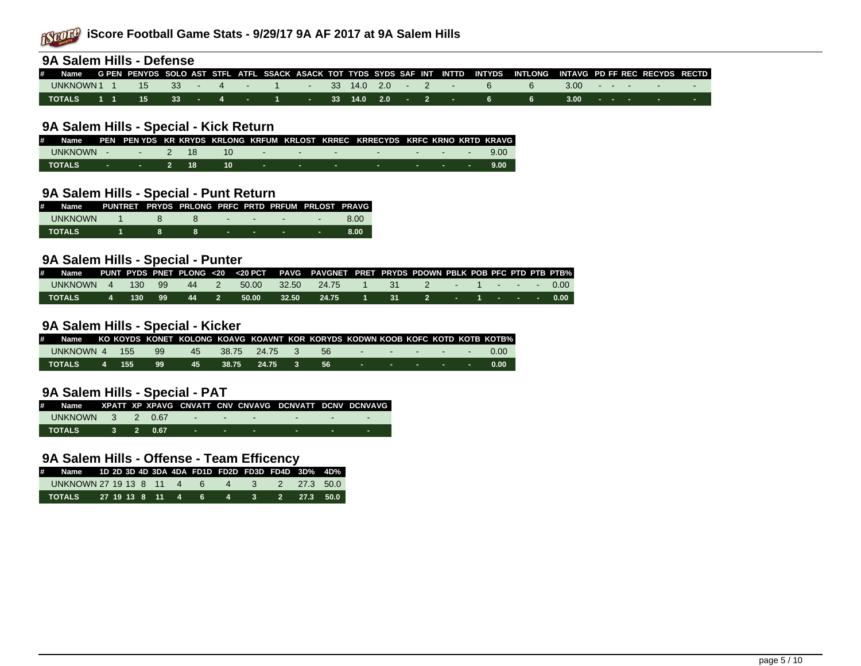

| 9A Salem Hills - Defense                                                                                                 |  |  |  |  |  |  |  |                                             |      |              |  |                                              |  |
|--------------------------------------------------------------------------------------------------------------------------|--|--|--|--|--|--|--|---------------------------------------------|------|--------------|--|----------------------------------------------|--|
| # Name GPEN PENYDS SOLO AST STFL ATFL SSACK ASACK TOT TYDS SYDS SAF INT INTTD INTYDS INTLONG INTAVG PDFFREC RECYDS RECTD |  |  |  |  |  |  |  |                                             |      |              |  |                                              |  |
| UNKNOWN 1 1                                                                                                              |  |  |  |  |  |  |  | 15 33 4 1 33 14.0 2.0 - 2 - 6               | -6 - |              |  | $3.00 \rightarrow \cdots \rightarrow \cdots$ |  |
| TOTALS                                                                                                                   |  |  |  |  |  |  |  | . 1 1 15 33 - 4 - 1 - 33 14.0 2.0 - 2 - 6 6 |      | $3.00 - 7.7$ |  |                                              |  |

#### **9A Salem Hills - Special - Kick Return**

| # Name PEN PEN YDS KR KRYDS KRLONG KRFUM KRLOST KRREC KRRECYDS KRFC KRNO KRTD KRAVG |  |  |  |  |  |  |  |
|-------------------------------------------------------------------------------------|--|--|--|--|--|--|--|
| UNKNOWN - 2 18 10 - - - - - - - - 9.00                                              |  |  |  |  |  |  |  |
| TOTALS - - 2 18 10 - - - - - - - - - 9.00                                           |  |  |  |  |  |  |  |

### **9A Salem Hills - Special - Punt Return**

| # Name PUNTRET PRYDS PRLONG PRFC PRTD PRFUM PRLOST PRAVG |  |  |                                                  |                |       |
|----------------------------------------------------------|--|--|--------------------------------------------------|----------------|-------|
| <b>UNKNOWN</b>                                           |  |  | $8 - 12$                                         | <b>Service</b> | -8.00 |
| <b>TOTALS</b>                                            |  |  | the control of the control of the control of the |                | 8.00  |

#### **9A Salem Hills - Special - Punter**

| # |                  |  |  |                       |       | Name  PUNT PYDS PNET PLONG <20 <20 PCT  PAVG PAVGNET PRET PRYDS PDOWN PBLK POB PFC PTD PTB PTB% |  |                   |  |  |  |
|---|------------------|--|--|-----------------------|-------|-------------------------------------------------------------------------------------------------|--|-------------------|--|--|--|
|   | UNKNOWN 4 130 99 |  |  | 44 2 50.00 32.50      |       | 24.75 1                                                                                         |  | 31 2 - 1 - - 0.00 |  |  |  |
|   | TOTALS           |  |  | 4 130 99 44 2 50.00 \ | 32.50 | . 24.75 1 31 2 - 1 - - - 0.00 l                                                                 |  |                   |  |  |  |

#### **9A Salem Hills - Special - Kicker**

| # Name KO KOYDS KONET KOLONG KOAVG KOAVNT KOR KORYDS KODWN KOOB KOFC KOTD KOTB KOTB% |  |  |  |  |  |  |  |
|--------------------------------------------------------------------------------------|--|--|--|--|--|--|--|
| UNKNOWN 4 155 99 45 38.75 24.75 3 56 - - - - - - - 0.00                              |  |  |  |  |  |  |  |
| . TOTALS   4  155   99   45   38.75  24.75  3   56    -   -    -   -   0.00          |  |  |  |  |  |  |  |

# **9A Salem Hills - Special - PAT**

| # Name XPATT_XP_XPAVG_CNVATT_CNV_CNVAVG_DCNVATT_DCNV_DCNVAVG_I |  |  |  |  |     |
|----------------------------------------------------------------|--|--|--|--|-----|
|                                                                |  |  |  |  |     |
|                                                                |  |  |  |  | . . |

# **9A Salem Hills - Offense - Team Efficency**

| # Name 1D 2D 3D 4D 3DA 4DA FD1D FD2D FD3D FD4D 3D% 4D% |  |  |  |  |  |  |
|--------------------------------------------------------|--|--|--|--|--|--|
| UNKNOWN 27 19 13 8 11 4 6 4 3 2 27.3 50.0              |  |  |  |  |  |  |
| TOTALS 27 19 13 8 11 4 6 4 3 2 27.3 50.0               |  |  |  |  |  |  |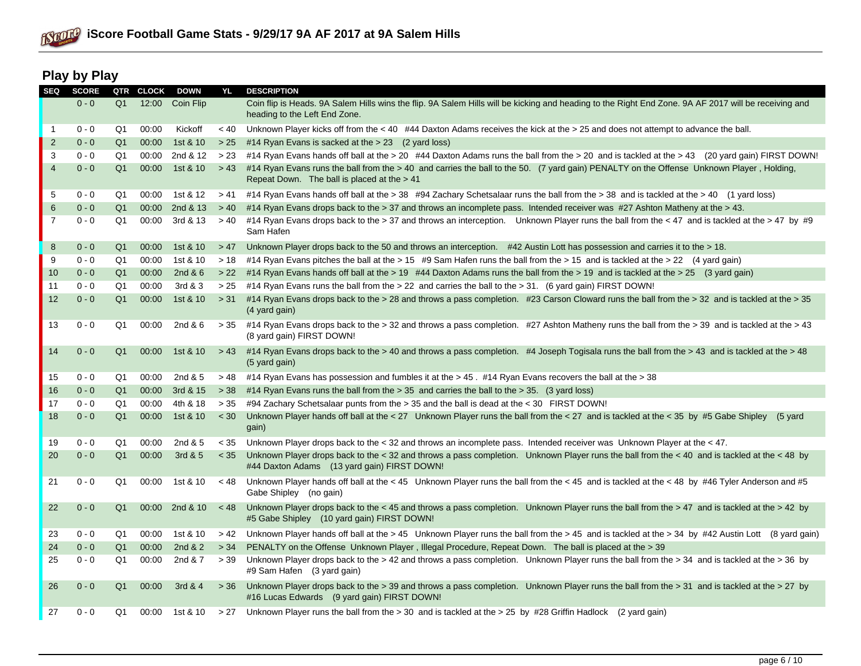

# **Play by Play**

| <b>SEQ</b>     | <b>SCORE</b> | QTR            | <b>CLOCK</b> | <b>DOWN</b> | YL     | <b>DESCRIPTION</b>                                                                                                                                                                          |
|----------------|--------------|----------------|--------------|-------------|--------|---------------------------------------------------------------------------------------------------------------------------------------------------------------------------------------------|
|                | $0 - 0$      | Q <sub>1</sub> | 12:00        | Coin Flip   |        | Coin flip is Heads. 9A Salem Hills wins the flip. 9A Salem Hills will be kicking and heading to the Right End Zone. 9A AF 2017 will be receiving and<br>heading to the Left End Zone.       |
| -1             | $0 - 0$      | Q1             | 00:00        | Kickoff     | ~< 40  | Unknown Player kicks off from the < 40 #44 Daxton Adams receives the kick at the > 25 and does not attempt to advance the ball.                                                             |
| $\overline{2}$ | $0 - 0$      | Q1             | 00:00        | 1st & 10    | > 25   | #14 Ryan Evans is sacked at the $> 23$ (2 yard loss)                                                                                                                                        |
| 3              | $0 - 0$      | Q1             | 00:00        | 2nd & 12    | > 23   | #14 Ryan Evans hands off ball at the > 20 #44 Daxton Adams runs the ball from the > 20 and is tackled at the > 43 (20 yard gain) FIRST DOWN!                                                |
| $\overline{4}$ | $0 - 0$      | Q <sub>1</sub> | 00:00        | 1st & 10    | > 43   | #14 Ryan Evans runs the ball from the > 40 and carries the ball to the 50. (7 yard gain) PENALTY on the Offense Unknown Player, Holding,<br>Repeat Down. The ball is placed at the > 41     |
| 5              | $0 - 0$      | Q1             | 00:00        | 1st & 12    | > 41   | #14 Ryan Evans hands off ball at the > 38 #94 Zachary Schetsalaar runs the ball from the > 38 and is tackled at the > 40 (1 yard loss)                                                      |
| 6              | $0 - 0$      | Q <sub>1</sub> | 00:00        | 2nd & 13    | > 40   | #14 Ryan Evans drops back to the > 37 and throws an incomplete pass. Intended receiver was #27 Ashton Matheny at the > 43.                                                                  |
| $\overline{7}$ | $0 - 0$      | Q1             | 00:00        | 3rd & 13    | > 40   | #14 Ryan Evans drops back to the > 37 and throws an interception. Unknown Player runs the ball from the < 47 and is tackled at the > 47 by #9<br>Sam Hafen                                  |
| 8              | $0 - 0$      | Q <sub>1</sub> | 00:00        | 1st & 10    | > 47   | Unknown Player drops back to the 50 and throws an interception. #42 Austin Lott has possession and carries it to the > 18.                                                                  |
| 9              | $0 - 0$      | Q1             | 00:00        | 1st & 10    | >18    | #14 Ryan Evans pitches the ball at the > 15 #9 Sam Hafen runs the ball from the > 15 and is tackled at the > 22 (4 yard gain)                                                               |
| 10             | $0 - 0$      | Q <sub>1</sub> | 00:00        | 2nd $& 6$   | >22    | #14 Ryan Evans hands off ball at the > 19 #44 Daxton Adams runs the ball from the > 19 and is tackled at the > 25 (3 yard gain)                                                             |
| 11             | $0 - 0$      | Q1             | 00:00        | 3rd & 3     | > 25   | #14 Ryan Evans runs the ball from the > 22 and carries the ball to the > 31. (6 yard gain) FIRST DOWN!                                                                                      |
| 12             | $0 - 0$      | Q <sub>1</sub> | 00:00        | 1st & 10    | > 31   | #14 Ryan Evans drops back to the > 28 and throws a pass completion. #23 Carson Cloward runs the ball from the > 32 and is tackled at the > 35<br>(4 yard gain)                              |
| 13             | $0 - 0$      | Q1             | 00:00        | 2nd $&6$    | > 35   | #14 Ryan Evans drops back to the > 32 and throws a pass completion. #27 Ashton Matheny runs the ball from the > 39 and is tackled at the > 43<br>(8 yard gain) FIRST DOWN!                  |
| 14             | $0 - 0$      | Q <sub>1</sub> | 00:00        | 1st & 10    | > 43   | #14 Ryan Evans drops back to the > 40 and throws a pass completion. #4 Joseph Togisala runs the ball from the > 43 and is tackled at the > 48<br>(5 yard gain)                              |
| 15             | $0 - 0$      | Q1             | 00:00        | 2nd & 5     | >48    | #14 Ryan Evans has possession and fumbles it at the > 45. #14 Ryan Evans recovers the ball at the > 38                                                                                      |
| 16             | $0 - 0$      | Q1             | 00:00        | 3rd & 15    | > 38   | #14 Ryan Evans runs the ball from the > 35 and carries the ball to the > 35. (3 yard loss)                                                                                                  |
| 17             | $0 - 0$      | Q1             | 00:00        | 4th & 18    | > 35   | #94 Zachary Schetsalaar punts from the > 35 and the ball is dead at the < 30 FIRST DOWN!                                                                                                    |
| 18             | $0 - 0$      | Q <sub>1</sub> | 00:00        | 1st & 10    | $<$ 30 | Unknown Player hands off ball at the < 27 Unknown Player runs the ball from the < 27 and is tackled at the < 35 by #5 Gabe Shipley<br>(5 vard<br>gain)                                      |
| 19             | $0 - 0$      | Q1             | 00:00        | 2nd & 5     | $<$ 35 | Unknown Player drops back to the < 32 and throws an incomplete pass. Intended receiver was Unknown Player at the < 47.                                                                      |
| 20             | $0 - 0$      | Q <sub>1</sub> | 00:00        | 3rd & 5     | < 35   | Unknown Player drops back to the < 32 and throws a pass completion. Unknown Player runs the ball from the < 40 and is tackled at the < 48 by<br>#44 Daxton Adams (13 yard gain) FIRST DOWN! |
| 21             | $0 - 0$      | Q1             | 00:00        | 1st & 10    | < 48   | Unknown Player hands off ball at the $<$ 45 Unknown Player runs the ball from the $<$ 45 and is tackled at the $<$ 48 by #46 Tyler Anderson and #5<br>Gabe Shipley (no gain)                |
| 22             | $0 - 0$      | Q <sub>1</sub> | 00:00        | 2nd & 10    | < 48   | Unknown Player drops back to the < 45 and throws a pass completion. Unknown Player runs the ball from the > 47 and is tackled at the > 42 by<br>#5 Gabe Shipley (10 yard gain) FIRST DOWN!  |
| 23             | $0 - 0$      | Q1             | 00:00        | 1st & 10    | > 42   | Unknown Player hands off ball at the > 45 Unknown Player runs the ball from the > 45 and is tackled at the > 34 by #42 Austin Lott (8 yard gain)                                            |
| 24             | $0 - 0$      | Q <sub>1</sub> | 00:00        | 2nd & 2     | > 34   | PENALTY on the Offense Unknown Player, Illegal Procedure, Repeat Down. The ball is placed at the > 39                                                                                       |
| 25             | $0 - 0$      | Q1             | 00:00        | 2nd & 7     | > 39   | Unknown Player drops back to the > 42 and throws a pass completion. Unknown Player runs the ball from the > 34 and is tackled at the > 36 by<br>#9 Sam Hafen (3 yard gain)                  |
| 26             | $0 - 0$      | Q <sub>1</sub> | 00:00        | 3rd & 4     | > 36   | Unknown Player drops back to the > 39 and throws a pass completion. Unknown Player runs the ball from the > 31 and is tackled at the > 27 by<br>#16 Lucas Edwards (9 yard gain) FIRST DOWN! |
| 27             | $0 - 0$      | Q1             | 00:00        | 1st & 10    | > 27   | Unknown Player runs the ball from the $>$ 30 and is tackled at the $>$ 25 by #28 Griffin Hadlock (2 yard gain)                                                                              |
|                |              |                |              |             |        |                                                                                                                                                                                             |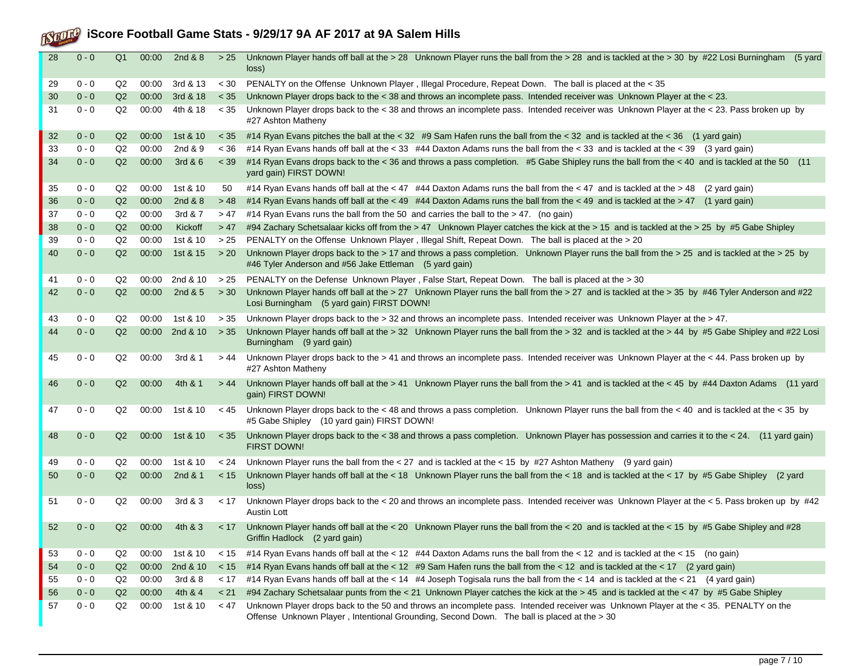| 28 | $0 - 0$ | Q <sub>1</sub> | 00:00 | 2nd & 8                | > 25   | Unknown Player hands off ball at the > 28 Unknown Player runs the ball from the > 28 and is tackled at the > 30 by #22 Losi Burningham (5 yard<br>loss)                                                                           |
|----|---------|----------------|-------|------------------------|--------|-----------------------------------------------------------------------------------------------------------------------------------------------------------------------------------------------------------------------------------|
| 29 | $0 - 0$ | Q2             | 00:00 | 3rd & 13               | < 30   | PENALTY on the Offense Unknown Player, Illegal Procedure, Repeat Down. The ball is placed at the < 35                                                                                                                             |
| 30 | $0 - 0$ | Q2             | 00:00 | 3rd & 18               | $<$ 35 | Unknown Player drops back to the < 38 and throws an incomplete pass. Intended receiver was Unknown Player at the < 23.                                                                                                            |
| 31 | $0 - 0$ | Q2             | 00:00 | 4th & 18               | < 35   | Unknown Player drops back to the < 38 and throws an incomplete pass. Intended receiver was Unknown Player at the < 23. Pass broken up by<br>#27 Ashton Matheny                                                                    |
| 32 | $0 - 0$ | Q2             | 00:00 | 1st & 10               | < 35   | #14 Ryan Evans pitches the ball at the < 32 #9 Sam Hafen runs the ball from the < 32 and is tackled at the < 36 (1 yard gain)                                                                                                     |
| 33 | $0 - 0$ | Q2             | 00:00 | 2nd & 9                | < 36   | #14 Ryan Evans hands off ball at the < 33 #44 Daxton Adams runs the ball from the < 33 and is tackled at the < 39 (3 yard gain)                                                                                                   |
| 34 | $0 - 0$ | Q2             | 00:00 | 3rd & 6                | $<$ 39 | #14 Ryan Evans drops back to the < 36 and throws a pass completion. #5 Gabe Shipley runs the ball from the < 40 and is tackled at the 50 (11<br>yard gain) FIRST DOWN!                                                            |
| 35 | $0 - 0$ | Q2             | 00:00 | 1st & 10               | 50     | #14 Ryan Evans hands off ball at the < 47 #44 Daxton Adams runs the ball from the < 47 and is tackled at the > 48<br>(2 yard gain)                                                                                                |
| 36 | $0 - 0$ | Q2             | 00:00 | 2nd & 8                | > 48   | #14 Ryan Evans hands off ball at the < 49 #44 Daxton Adams runs the ball from the < 49 and is tackled at the > 47 (1 yard gain)                                                                                                   |
| 37 | $0 - 0$ | Q2             | 00:00 | 3rd & 7                | >47    | #14 Ryan Evans runs the ball from the 50 and carries the ball to the > 47. (no gain)                                                                                                                                              |
| 38 | $0 - 0$ | Q2             | 00:00 | Kickoff                | > 47   | #94 Zachary Schetsalaar kicks off from the > 47 Unknown Player catches the kick at the > 15 and is tackled at the > 25 by #5 Gabe Shipley                                                                                         |
| 39 | $0 - 0$ | Q2             | 00:00 | 1st & 10               | > 25   | PENALTY on the Offense Unknown Player, Illegal Shift, Repeat Down. The ball is placed at the > 20                                                                                                                                 |
| 40 | $0 - 0$ | Q2             | 00:00 | 1st & 15               | >20    | Unknown Player drops back to the > 17 and throws a pass completion. Unknown Player runs the ball from the > 25 and is tackled at the > 25 by<br>#46 Tyler Anderson and #56 Jake Ettleman (5 yard gain)                            |
| 41 | $0 - 0$ | Q2             | 00:00 | 2nd & 10               | > 25   | PENALTY on the Defense Unknown Player, False Start, Repeat Down. The ball is placed at the > 30                                                                                                                                   |
| 42 | $0 - 0$ | Q2             | 00:00 | 2nd & 5                | > 30   | Unknown Player hands off ball at the > 27 Unknown Player runs the ball from the > 27 and is tackled at the > 35 by #46 Tyler Anderson and #22<br>Losi Burningham (5 yard gain) FIRST DOWN!                                        |
| 43 | $0 - 0$ | Q2             | 00:00 | 1st & 10               | > 35   | Unknown Player drops back to the > 32 and throws an incomplete pass. Intended receiver was Unknown Player at the > 47.                                                                                                            |
| 44 | $0 - 0$ | Q2             |       | $00:00$ 2nd & 10 $>35$ |        | Unknown Player hands off ball at the > 32 Unknown Player runs the ball from the > 32 and is tackled at the > 44 by #5 Gabe Shipley and #22 Losi<br>Burningham (9 yard gain)                                                       |
| 45 | $0 - 0$ | Q2             | 00:00 | 3rd & 1                | > 44   | Unknown Player drops back to the > 41 and throws an incomplete pass. Intended receiver was Unknown Player at the < 44. Pass broken up by<br>#27 Ashton Matheny                                                                    |
| 46 | $0 - 0$ | Q2             | 00:00 | 4th & 1                | > 44   | Unknown Player hands off ball at the > 41 Unknown Player runs the ball from the > 41 and is tackled at the < 45 by #44 Daxton Adams (11 yard<br>gain) FIRST DOWN!                                                                 |
| 47 | $0 - 0$ | Q2             | 00:00 | 1st & 10               | < 45   | Unknown Player drops back to the < 48 and throws a pass completion. Unknown Player runs the ball from the < 40 and is tackled at the < 35 by<br>#5 Gabe Shipley (10 yard gain) FIRST DOWN!                                        |
| 48 | $0 - 0$ | Q2             | 00:00 | 1st & 10               | $<$ 35 | Unknown Player drops back to the < 38 and throws a pass completion. Unknown Player has possession and carries it to the < 24. (11 yard gain)<br><b>FIRST DOWN!</b>                                                                |
| 49 | $0 - 0$ | Q2             | 00:00 | 1st & 10               | < 24   | Unknown Player runs the ball from the < 27 and is tackled at the < 15 by $\#27$ Ashton Matheny (9 yard gain)                                                                                                                      |
| 50 | $0 - 0$ | Q2             | 00:00 | 2nd & 1                | < 15   | Unknown Player hands off ball at the < 18 Unknown Player runs the ball from the < 18 and is tackled at the < 17 by #5 Gabe Shipley (2 yard<br>loss)                                                                               |
| 51 | $0 - 0$ | Q2             | 00:00 | 3rd & 3                | < 17   | Unknown Player drops back to the < 20 and throws an incomplete pass. Intended receiver was Unknown Player at the < 5. Pass broken up by #42<br><b>Austin Lott</b>                                                                 |
| 52 | $0 - 0$ | Q2             | 00:00 | 4th & 3                | < 17   | Unknown Player hands off ball at the < 20 Unknown Player runs the ball from the < 20 and is tackled at the < 15 by #5 Gabe Shipley and #28<br>Griffin Hadlock (2 yard gain)                                                       |
| 53 | $0 - 0$ | Q2             | 00:00 | 1st & 10               | < 15   | #14 Ryan Evans hands off ball at the < 12 #44 Daxton Adams runs the ball from the < 12 and is tackled at the < 15 (no gain)                                                                                                       |
| 54 | $0 - 0$ | Q2             | 00:00 | 2nd & 10               | < 15   | #14 Ryan Evans hands off ball at the < 12 #9 Sam Hafen runs the ball from the < 12 and is tackled at the < 17 (2 yard gain)                                                                                                       |
| 55 | $0 - 0$ | Q2             | 00:00 | 3rd & 8                | < 17   | #14 Ryan Evans hands off ball at the < 14 #4 Joseph Togisala runs the ball from the < 14 and is tackled at the < 21 (4 yard gain)                                                                                                 |
| 56 | $0 - 0$ | Q2             | 00:00 | 4th & 4                | < 21   | #94 Zachary Schetsalaar punts from the < 21 Unknown Player catches the kick at the > 45 and is tackled at the < 47 by #5 Gabe Shipley                                                                                             |
| 57 | $0 - 0$ | Q2             | 00:00 | 1st & 10               | < 47   | Unknown Player drops back to the 50 and throws an incomplete pass. Intended receiver was Unknown Player at the < 35. PENALTY on the<br>Offense Unknown Player, Intentional Grounding, Second Down. The ball is placed at the > 30 |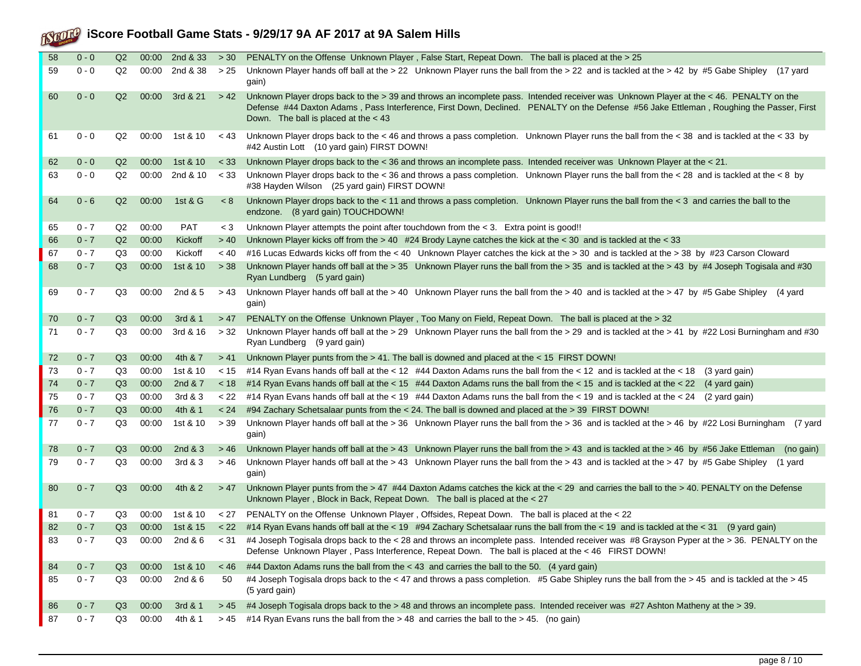| 58 | $0 - 0$ | Q2 | 00:00 | 2nd & 33 | > 30    | PENALTY on the Offense Unknown Player, False Start, Repeat Down. The ball is placed at the > 25                                                                                                                                                                                                                            |
|----|---------|----|-------|----------|---------|----------------------------------------------------------------------------------------------------------------------------------------------------------------------------------------------------------------------------------------------------------------------------------------------------------------------------|
| 59 | $0 - 0$ | Q2 | 00:00 | 2nd & 38 | > 25    | Unknown Player hands off ball at the > 22 Unknown Player runs the ball from the > 22 and is tackled at the > 42 by #5 Gabe Shipley (17 yard<br>gain)                                                                                                                                                                       |
| 60 | $0 - 0$ | Q2 | 00:00 | 3rd & 21 | > 42    | Unknown Player drops back to the > 39 and throws an incomplete pass. Intended receiver was Unknown Player at the < 46. PENALTY on the<br>Defense #44 Daxton Adams, Pass Interference, First Down, Declined. PENALTY on the Defense #56 Jake Ettleman, Roughing the Passer, First<br>Down. The ball is placed at the $<$ 43 |
| 61 | $0 - 0$ | Q2 | 00:00 | 1st & 10 | < 43    | Unknown Player drops back to the < 46 and throws a pass completion. Unknown Player runs the ball from the < 38 and is tackled at the < 33 by<br>#42 Austin Lott (10 yard gain) FIRST DOWN!                                                                                                                                 |
| 62 | $0 - 0$ | Q2 | 00:00 | 1st & 10 | $<$ 33  | Unknown Player drops back to the < 36 and throws an incomplete pass. Intended receiver was Unknown Player at the < 21.                                                                                                                                                                                                     |
| 63 | $0 - 0$ | Q2 | 00:00 | 2nd & 10 | < 33    | Unknown Player drops back to the < 36 and throws a pass completion. Unknown Player runs the ball from the < 28 and is tackled at the < 8 by<br>#38 Hayden Wilson (25 yard gain) FIRST DOWN!                                                                                                                                |
| 64 | $0 - 6$ | Q2 | 00:00 | 1st & G  | < 8     | Unknown Player drops back to the < 11 and throws a pass completion. Unknown Player runs the ball from the < 3 and carries the ball to the<br>endzone. (8 yard gain) TOUCHDOWN!                                                                                                                                             |
| 65 | $0 - 7$ | Q2 | 00:00 | PAT      | $<$ 3   | Unknown Player attempts the point after touchdown from the $<$ 3. Extra point is good!!                                                                                                                                                                                                                                    |
| 66 | $0 - 7$ | Q2 | 00:00 | Kickoff  | > 40    | Unknown Player kicks off from the > 40 #24 Brody Layne catches the kick at the < 30 and is tackled at the < 33                                                                                                                                                                                                             |
| 67 | $0 - 7$ | Q3 | 00:00 | Kickoff  | ~< 40   | #16 Lucas Edwards kicks off from the < 40 Unknown Player catches the kick at the > 30 and is tackled at the > 38 by #23 Carson Cloward                                                                                                                                                                                     |
| 68 | $0 - 7$ | Q3 | 00:00 | 1st & 10 | > 38    | Unknown Player hands off ball at the > 35 Unknown Player runs the ball from the > 35 and is tackled at the > 43 by #4 Joseph Togisala and #30<br>Ryan Lundberg (5 yard gain)                                                                                                                                               |
| 69 | $0 - 7$ | Q3 | 00:00 | 2nd & 5  | > 43    | Unknown Player hands off ball at the > 40 Unknown Player runs the ball from the > 40 and is tackled at the > 47 by #5 Gabe Shipley (4 yard<br>gain)                                                                                                                                                                        |
| 70 | $0 - 7$ | Q3 | 00:00 | 3rd & 1  | >47     | PENALTY on the Offense Unknown Player, Too Many on Field, Repeat Down. The ball is placed at the > 32                                                                                                                                                                                                                      |
| 71 | $0 - 7$ | Q3 | 00:00 | 3rd & 16 | > 32    | Unknown Player hands off ball at the > 29 Unknown Player runs the ball from the > 29 and is tackled at the > 41 by #22 Losi Burningham and #30<br>Ryan Lundberg (9 yard gain)                                                                                                                                              |
| 72 | $0 - 7$ | Q3 | 00:00 | 4th & 7  | >41     | Unknown Player punts from the > 41. The ball is downed and placed at the < 15 FIRST DOWN!                                                                                                                                                                                                                                  |
| 73 | $0 - 7$ | Q3 | 00:00 | 1st & 10 | < 15    | #14 Ryan Evans hands off ball at the < 12 #44 Daxton Adams runs the ball from the < 12 and is tackled at the < 18 (3 yard gain)                                                                                                                                                                                            |
| 74 | $0 - 7$ | Q3 | 00:00 | 2nd & 7  | < 18    | #14 Ryan Evans hands off ball at the < 15 #44 Daxton Adams runs the ball from the < 15 and is tackled at the < 22 (4 yard gain)                                                                                                                                                                                            |
| 75 | $0 - 7$ | Q3 | 00:00 | 3rd & 3  | < 22    | #14 Ryan Evans hands off ball at the < 19 #44 Daxton Adams runs the ball from the < 19 and is tackled at the < 24 (2 yard gain)                                                                                                                                                                                            |
| 76 | $0 - 7$ | Q3 | 00:00 | 4th & 1  | < 24    | #94 Zachary Schetsalaar punts from the < 24. The ball is downed and placed at the > 39 FIRST DOWN!                                                                                                                                                                                                                         |
| 77 | $0 - 7$ | Q3 | 00:00 | 1st & 10 | > 39    | Unknown Player hands off ball at the > 36 Unknown Player runs the ball from the > 36 and is tackled at the > 46 by #22 Losi Burningham (7 yard<br>gain)                                                                                                                                                                    |
| 78 | $0 - 7$ | Q3 | 00:00 | 2nd $&3$ | >46     | Unknown Player hands off ball at the > 43 Unknown Player runs the ball from the > 43 and is tackled at the > 46 by #56 Jake Ettleman (no gain)                                                                                                                                                                             |
| 79 | $0 - 7$ | Q3 | 00:00 | 3rd & 3  | >46     | Unknown Player hands off ball at the > 43 Unknown Player runs the ball from the > 43 and is tackled at the > 47 by #5 Gabe Shipley (1 yard<br>gain)                                                                                                                                                                        |
| 80 | $0 - 7$ | Q3 | 00:00 | 4th & 2  | > 47    | Unknown Player punts from the > 47 #44 Daxton Adams catches the kick at the < 29 and carries the ball to the > 40. PENALTY on the Defense<br>Unknown Player, Block in Back, Repeat Down. The ball is placed at the < 27                                                                                                    |
| 81 | $0 - 7$ | Q3 | 00:00 | 1st & 10 | < 27    | PENALTY on the Offense Unknown Player, Offsides, Repeat Down. The ball is placed at the < 22                                                                                                                                                                                                                               |
| 82 | $0 - 7$ | Q3 | 00:00 | 1st & 15 |         | < 22 #14 Ryan Evans hands off ball at the < 19 #94 Zachary Schetsalaar runs the ball from the < 19 and is tackled at the < 31 (9 yard gain)                                                                                                                                                                                |
| 83 | $0 - 7$ | Q3 | 00:00 |          |         | 2nd & 6 < 31 #4 Joseph Togisala drops back to the < 28 and throws an incomplete pass. Intended receiver was #8 Grayson Pyper at the > 36. PENALTY on the<br>Defense Unknown Player, Pass Interference, Repeat Down. The ball is placed at the < 46 FIRST DOWN!                                                             |
| 84 | $0 - 7$ | Q3 | 00:00 | 1st & 10 | $~<$ 46 | #44 Daxton Adams runs the ball from the < 43 and carries the ball to the 50. (4 yard gain)                                                                                                                                                                                                                                 |
| 85 | $0 - 7$ | Q3 | 00:00 | 2nd $&6$ | 50      | #4 Joseph Togisala drops back to the < 47 and throws a pass completion. #5 Gabe Shipley runs the ball from the > 45 and is tackled at the > 45<br>(5 yard gain)                                                                                                                                                            |
| 86 | $0 - 7$ | Q3 | 00:00 | 3rd & 1  | > 45    | #4 Joseph Togisala drops back to the > 48 and throws an incomplete pass. Intended receiver was #27 Ashton Matheny at the > 39.                                                                                                                                                                                             |
| 87 | $0 - 7$ | Q3 | 00:00 | 4th & 1  |         | $>$ 45 #14 Ryan Evans runs the ball from the $>$ 48 and carries the ball to the $>$ 45. (no gain)                                                                                                                                                                                                                          |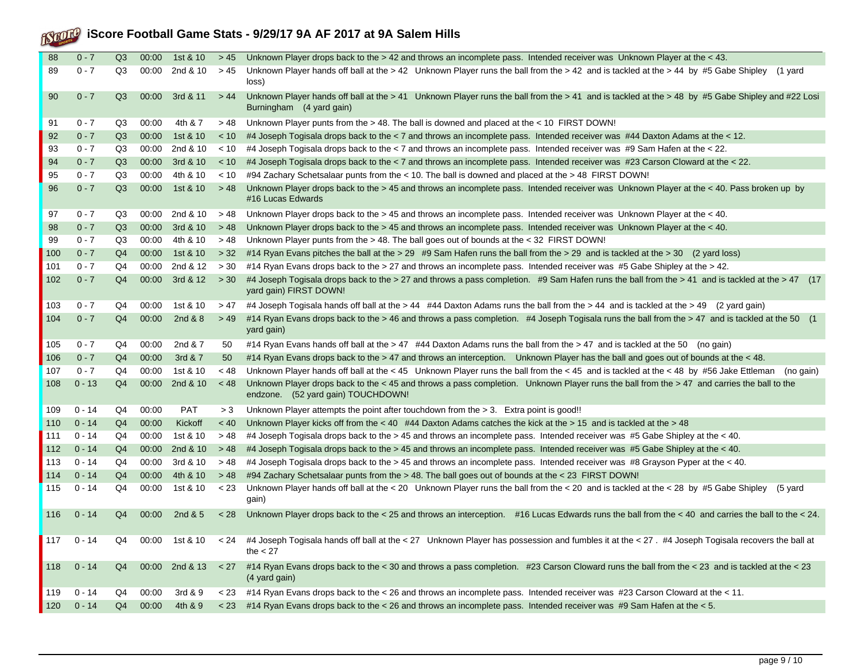| 88          | $0 - 7$  | Q3             | 00:00 | 1st & 10   | > 45    | Unknown Player drops back to the > 42 and throws an incomplete pass. Intended receiver was Unknown Player at the < 43.                                                           |
|-------------|----------|----------------|-------|------------|---------|----------------------------------------------------------------------------------------------------------------------------------------------------------------------------------|
| 89          | $0 - 7$  | Q3             | 00:00 | 2nd & 10   | > 45    | Unknown Player hands off ball at the $> 42$ Unknown Player runs the ball from the $> 42$ and is tackled at the $> 44$ by #5 Gabe Shipley<br>(1 yard<br>loss)                     |
| 90          | $0 - 7$  | Q <sub>3</sub> | 00:00 | 3rd & 11   | >44     | Unknown Player hands off ball at the > 41 Unknown Player runs the ball from the > 41 and is tackled at the > 48 by #5 Gabe Shipley and #22 Losi<br>Burningham (4 yard gain)      |
| 91          | $0 - 7$  | Q3             | 00:00 | 4th & 7    | > 48    | Unknown Player punts from the $> 48$ . The ball is downed and placed at the $< 10$ FIRST DOWN!                                                                                   |
| 92          | $0 - 7$  | Q <sub>3</sub> | 00:00 | 1st & 10   | < 10    | #4 Joseph Togisala drops back to the < 7 and throws an incomplete pass. Intended receiver was #44 Daxton Adams at the < 12.                                                      |
| 93          | $0 - 7$  | Q3             | 00:00 | 2nd & 10   | < 10    | #4 Joseph Togisala drops back to the < 7 and throws an incomplete pass. Intended receiver was #9 Sam Hafen at the < 22.                                                          |
| 94          | $0 - 7$  | Q3             | 00:00 | 3rd & 10   | < 10    | #4 Joseph Togisala drops back to the < 7 and throws an incomplete pass. Intended receiver was #23 Carson Cloward at the < 22.                                                    |
| 95          | $0 - 7$  | Q3             | 00:00 | 4th & 10   | < 10    | #94 Zachary Schetsalaar punts from the < 10. The ball is downed and placed at the > 48 FIRST DOWN!                                                                               |
| 96          | $0 - 7$  | Q3             | 00:00 | 1st & 10   | > 48    | Unknown Player drops back to the > 45 and throws an incomplete pass. Intended receiver was Unknown Player at the < 40. Pass broken up by<br>#16 Lucas Edwards                    |
| 97          | $0 - 7$  | Q3             | 00:00 | 2nd & 10   | > 48    | Unknown Player drops back to the > 45 and throws an incomplete pass. Intended receiver was Unknown Player at the < 40.                                                           |
| 98          | $0 - 7$  | Q <sub>3</sub> | 00:00 | 3rd & 10   | > 48    | Unknown Player drops back to the > 45 and throws an incomplete pass. Intended receiver was Unknown Player at the < 40.                                                           |
| 99          | $0 - 7$  | Q3             | 00:00 | 4th & 10   | > 48    | Unknown Player punts from the > 48. The ball goes out of bounds at the < 32 FIRST DOWN!                                                                                          |
| 100         | $0 - 7$  | Q <sub>4</sub> | 00:00 | 1st & 10   | > 32    | #14 Ryan Evans pitches the ball at the > 29 #9 Sam Hafen runs the ball from the > 29 and is tackled at the > 30 (2 yard loss)                                                    |
| 101         | $0 - 7$  | Q4             | 00:00 | 2nd & 12   | > 30    | #14 Ryan Evans drops back to the > 27 and throws an incomplete pass. Intended receiver was #5 Gabe Shipley at the > 42.                                                          |
| 102         | $0 - 7$  | Q <sub>4</sub> | 00:00 | 3rd & 12   | > 30    | #4 Joseph Togisala drops back to the > 27 and throws a pass completion. #9 Sam Hafen runs the ball from the > 41 and is tackled at the > 47 (17<br>yard gain) FIRST DOWN!        |
| 103         | $0 - 7$  | Q4             | 00:00 | 1st & 10   | > 47    | #4 Joseph Togisala hands off ball at the > 44 #44 Daxton Adams runs the ball from the > 44 and is tackled at the > 49 (2 yard gain)                                              |
| 104         | $0 - 7$  | Q <sub>4</sub> | 00:00 | 2nd & 8    | > 49    | #14 Ryan Evans drops back to the > 46 and throws a pass completion. #4 Joseph Togisala runs the ball from the > 47 and is tackled at the 50 (1<br>yard gain)                     |
| 105         | $0 - 7$  | Q4             | 00:00 | 2nd & 7    | 50      | #14 Ryan Evans hands off ball at the > 47 #44 Daxton Adams runs the ball from the > 47 and is tackled at the 50 (no gain)                                                        |
| 106         | $0 - 7$  | Q <sub>4</sub> | 00:00 | 3rd & 7    | 50      | #14 Ryan Evans drops back to the > 47 and throws an interception. Unknown Player has the ball and goes out of bounds at the < 48.                                                |
| 107         | $0 - 7$  | Q4             | 00:00 | 1st & 10   | $~<$ 48 | Unknown Player hands off ball at the < 45 Unknown Player runs the ball from the < 45 and is tackled at the < 48 by #56 Jake Ettleman (no gain)                                   |
| 108         | $0 - 13$ | Q <sub>4</sub> | 00:00 | 2nd & 10   | < 48    | Unknown Player drops back to the < 45 and throws a pass completion. Unknown Player runs the ball from the > 47 and carries the ball to the<br>endzone. (52 yard gain) TOUCHDOWN! |
| 109         | $0 - 14$ | Q4             | 00:00 | <b>PAT</b> | > 3     | Unknown Player attempts the point after touchdown from the $>$ 3. Extra point is good!!                                                                                          |
| 110         | $0 - 14$ | Q <sub>4</sub> | 00:00 | Kickoff    | < 40    | Unknown Player kicks off from the $<$ 40 #44 Daxton Adams catches the kick at the $>$ 15 and is tackled at the $>$ 48                                                            |
| 111         | $0 - 14$ | Q4             | 00:00 | 1st & 10   | > 48    | #4 Joseph Togisala drops back to the > 45 and throws an incomplete pass. Intended receiver was #5 Gabe Shipley at the < 40.                                                      |
| 112         | $0 - 14$ | Q <sub>4</sub> | 00:00 | 2nd & 10   | > 48    | #4 Joseph Togisala drops back to the > 45 and throws an incomplete pass. Intended receiver was #5 Gabe Shipley at the < 40.                                                      |
| 113         | $0 - 14$ | Q4             | 00:00 | 3rd & 10   | > 48    | #4 Joseph Togisala drops back to the > 45 and throws an incomplete pass. Intended receiver was #8 Grayson Pyper at the < 40.                                                     |
| $114$       | $0 - 14$ | Q <sub>4</sub> | 00:00 | 4th & 10   | > 48    | #94 Zachary Schetsalaar punts from the > 48. The ball goes out of bounds at the < 23 FIRST DOWN!                                                                                 |
| 115         | $0 - 14$ | Q4             | 00:00 | 1st & 10   | < 23    | Unknown Player hands off ball at the < 20 Unknown Player runs the ball from the < 20 and is tackled at the < 28 by #5 Gabe Shipley<br>(5 yard<br>gain)                           |
| 116         | $0 - 14$ | Q <sub>4</sub> | 00:00 | 2nd & 5    | < 28    | Unknown Player drops back to the < 25 and throws an interception. #16 Lucas Edwards runs the ball from the < 40 and carries the ball to the < 24.                                |
| 117         | $0 - 14$ | Q4             | 00:00 | 1st & 10   | < 24    | #4 Joseph Togisala hands off ball at the < 27 Unknown Player has possession and fumbles it at the < 27. #4 Joseph Togisala recovers the ball at<br>the $<$ 27                    |
| 118         | $0 - 14$ | Q <sub>4</sub> | 00:00 | 2nd & 13   | < 27    | #14 Ryan Evans drops back to the < 30 and throws a pass completion. #23 Carson Cloward runs the ball from the < 23 and is tackled at the < 23<br>(4 yard gain)                   |
| 119         | $0 - 14$ | Q4             | 00:00 | 3rd & 9    | < 23    | #14 Ryan Evans drops back to the < 26 and throws an incomplete pass. Intended receiver was #23 Carson Cloward at the < 11.                                                       |
| $\vert$ 120 | $0 - 14$ | Q <sub>4</sub> | 00:00 | 4th & 9    | < 23    | #14 Ryan Evans drops back to the < 26 and throws an incomplete pass. Intended receiver was #9 Sam Hafen at the < 5.                                                              |
|             |          |                |       |            |         |                                                                                                                                                                                  |